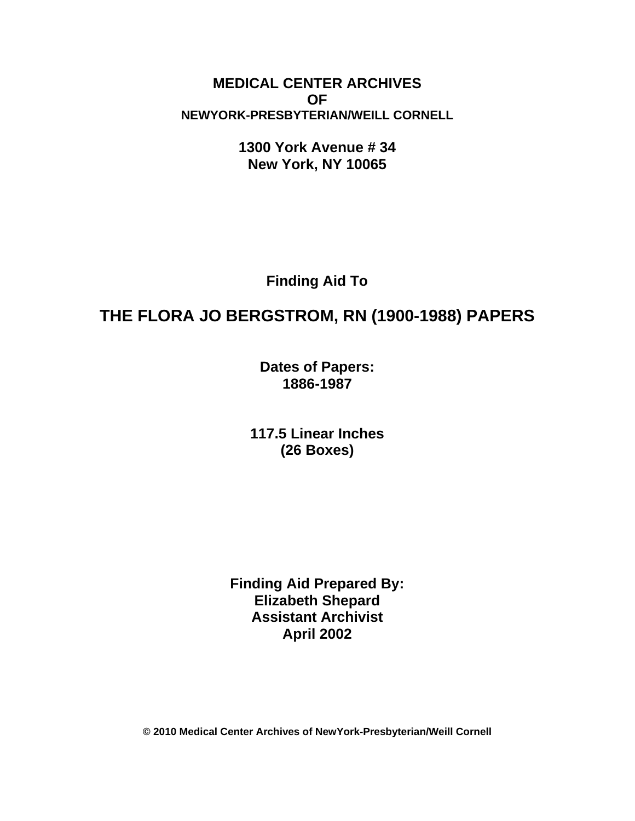**MEDICAL CENTER ARCHIVES OF NEWYORK-PRESBYTERIAN/WEILL CORNELL**

> **1300 York Avenue # 34 New York, NY 10065**

> > **Finding Aid To**

# **THE FLORA JO BERGSTROM, RN (1900-1988) PAPERS**

**Dates of Papers: 1886-1987**

**117.5 Linear Inches (26 Boxes)**

**Finding Aid Prepared By: Elizabeth Shepard Assistant Archivist April 2002**

**© 2010 Medical Center Archives of NewYork-Presbyterian/Weill Cornell**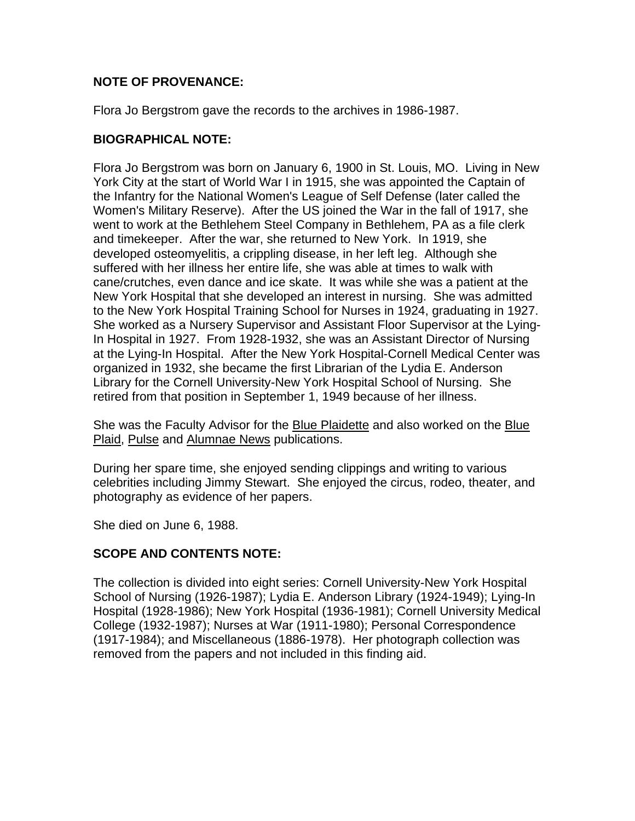#### **NOTE OF PROVENANCE:**

Flora Jo Bergstrom gave the records to the archives in 1986-1987.

#### **BIOGRAPHICAL NOTE:**

Flora Jo Bergstrom was born on January 6, 1900 in St. Louis, MO. Living in New York City at the start of World War I in 1915, she was appointed the Captain of the Infantry for the National Women's League of Self Defense (later called the Women's Military Reserve). After the US joined the War in the fall of 1917, she went to work at the Bethlehem Steel Company in Bethlehem, PA as a file clerk and timekeeper. After the war, she returned to New York. In 1919, she developed osteomyelitis, a crippling disease, in her left leg. Although she suffered with her illness her entire life, she was able at times to walk with cane/crutches, even dance and ice skate. It was while she was a patient at the New York Hospital that she developed an interest in nursing. She was admitted to the New York Hospital Training School for Nurses in 1924, graduating in 1927. She worked as a Nursery Supervisor and Assistant Floor Supervisor at the Lying-In Hospital in 1927. From 1928-1932, she was an Assistant Director of Nursing at the Lying-In Hospital. After the New York Hospital-Cornell Medical Center was organized in 1932, she became the first Librarian of the Lydia E. Anderson Library for the Cornell University-New York Hospital School of Nursing. She retired from that position in September 1, 1949 because of her illness.

She was the Faculty Advisor for the Blue Plaidette and also worked on the Blue Plaid, Pulse and Alumnae News publications.

During her spare time, she enjoyed sending clippings and writing to various celebrities including Jimmy Stewart. She enjoyed the circus, rodeo, theater, and photography as evidence of her papers.

She died on June 6, 1988.

# **SCOPE AND CONTENTS NOTE:**

The collection is divided into eight series: Cornell University-New York Hospital School of Nursing (1926-1987); Lydia E. Anderson Library (1924-1949); Lying-In Hospital (1928-1986); New York Hospital (1936-1981); Cornell University Medical College (1932-1987); Nurses at War (1911-1980); Personal Correspondence (1917-1984); and Miscellaneous (1886-1978). Her photograph collection was removed from the papers and not included in this finding aid.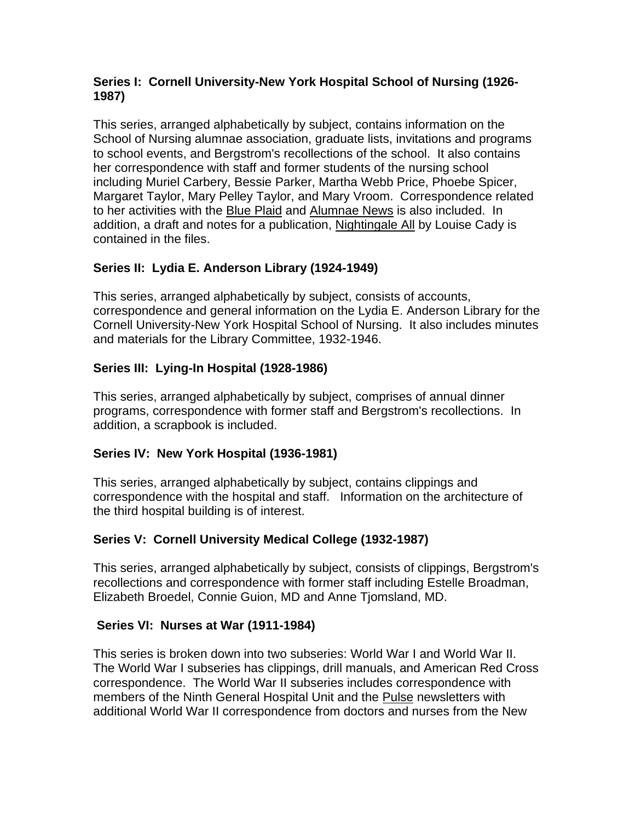### **Series I: Cornell University-New York Hospital School of Nursing (1926- 1987)**

This series, arranged alphabetically by subject, contains information on the School of Nursing alumnae association, graduate lists, invitations and programs to school events, and Bergstrom's recollections of the school. It also contains her correspondence with staff and former students of the nursing school including Muriel Carbery, Bessie Parker, Martha Webb Price, Phoebe Spicer, Margaret Taylor, Mary Pelley Taylor, and Mary Vroom. Correspondence related to her activities with the Blue Plaid and Alumnae News is also included. In addition, a draft and notes for a publication, Nightingale All by Louise Cady is contained in the files.

# **Series II: Lydia E. Anderson Library (1924-1949)**

This series, arranged alphabetically by subject, consists of accounts, correspondence and general information on the Lydia E. Anderson Library for the Cornell University-New York Hospital School of Nursing. It also includes minutes and materials for the Library Committee, 1932-1946.

# **Series III: Lying-In Hospital (1928-1986)**

This series, arranged alphabetically by subject, comprises of annual dinner programs, correspondence with former staff and Bergstrom's recollections. In addition, a scrapbook is included.

# **Series IV: New York Hospital (1936-1981)**

This series, arranged alphabetically by subject, contains clippings and correspondence with the hospital and staff. Information on the architecture of the third hospital building is of interest.

# **Series V: Cornell University Medical College (1932-1987)**

This series, arranged alphabetically by subject, consists of clippings, Bergstrom's recollections and correspondence with former staff including Estelle Broadman, Elizabeth Broedel, Connie Guion, MD and Anne Tjomsland, MD.

# **Series VI: Nurses at War (1911-1984)**

This series is broken down into two subseries: World War I and World War II. The World War I subseries has clippings, drill manuals, and American Red Cross correspondence. The World War II subseries includes correspondence with members of the Ninth General Hospital Unit and the Pulse newsletters with additional World War II correspondence from doctors and nurses from the New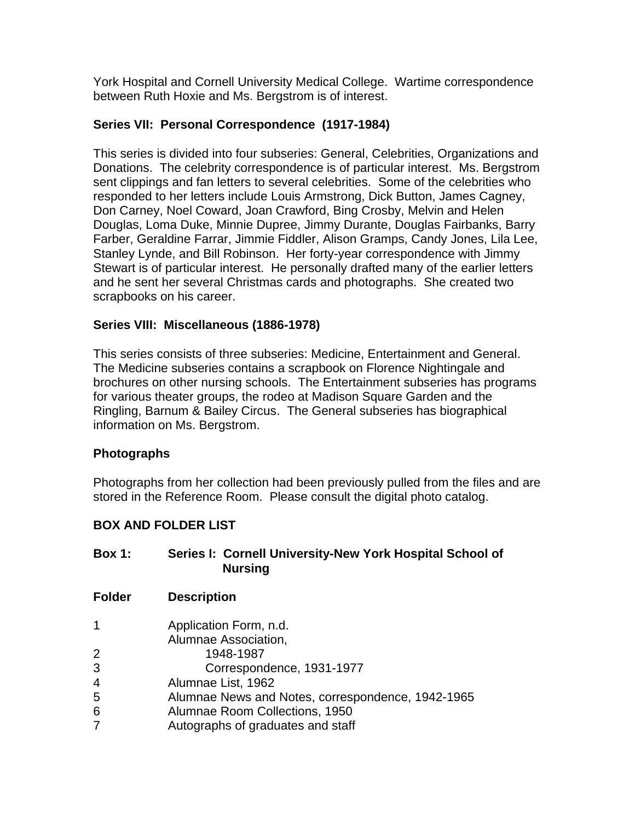York Hospital and Cornell University Medical College. Wartime correspondence between Ruth Hoxie and Ms. Bergstrom is of interest.

### **Series VII: Personal Correspondence (1917-1984)**

This series is divided into four subseries: General, Celebrities, Organizations and Donations. The celebrity correspondence is of particular interest. Ms. Bergstrom sent clippings and fan letters to several celebrities. Some of the celebrities who responded to her letters include Louis Armstrong, Dick Button, James Cagney, Don Carney, Noel Coward, Joan Crawford, Bing Crosby, Melvin and Helen Douglas, Loma Duke, Minnie Dupree, Jimmy Durante, Douglas Fairbanks, Barry Farber, Geraldine Farrar, Jimmie Fiddler, Alison Gramps, Candy Jones, Lila Lee, Stanley Lynde, and Bill Robinson. Her forty-year correspondence with Jimmy Stewart is of particular interest. He personally drafted many of the earlier letters and he sent her several Christmas cards and photographs. She created two scrapbooks on his career.

#### **Series VIII: Miscellaneous (1886-1978)**

This series consists of three subseries: Medicine, Entertainment and General. The Medicine subseries contains a scrapbook on Florence Nightingale and brochures on other nursing schools. The Entertainment subseries has programs for various theater groups, the rodeo at Madison Square Garden and the Ringling, Barnum & Bailey Circus. The General subseries has biographical information on Ms. Bergstrom.

#### **Photographs**

Photographs from her collection had been previously pulled from the files and are stored in the Reference Room. Please consult the digital photo catalog.

#### **BOX AND FOLDER LIST**

| <b>Box 1:</b> | Series I: Cornell University-New York Hospital School of<br><b>Nursing</b> |
|---------------|----------------------------------------------------------------------------|
| <b>Folder</b> | <b>Description</b>                                                         |
| 1             | Application Form, n.d.<br>Alumnae Association,                             |
| 2             | 1948-1987                                                                  |
| 3             | Correspondence, 1931-1977                                                  |
| 4             | Alumnae List, 1962                                                         |
| 5             | Alumnae News and Notes, correspondence, 1942-1965                          |
| 6             | Alumnae Room Collections, 1950                                             |
| 7             | Autographs of graduates and staff                                          |
|               |                                                                            |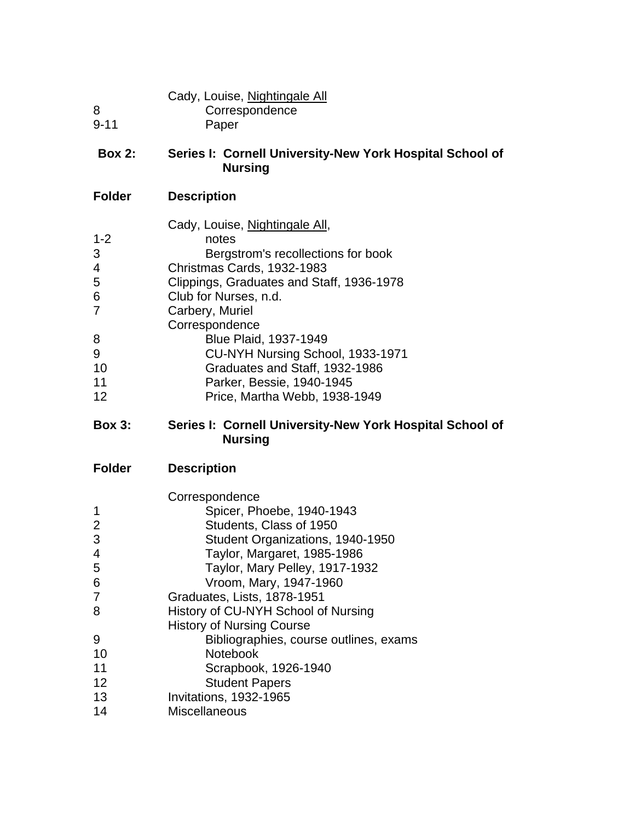|          | Cady, Louise, Nightingale All |  |
|----------|-------------------------------|--|
| -8       | Correspondence                |  |
| $9 - 11$ | Paper                         |  |
|          |                               |  |

# **Box 2: Series I: Cornell University-New York Hospital School of Nursing**

# **Folder Description**

| Cady, Louise, Nightingale All,            |
|-------------------------------------------|
| notes                                     |
| Bergstrom's recollections for book        |
| Christmas Cards, 1932-1983                |
| Clippings, Graduates and Staff, 1936-1978 |
| Club for Nurses, n.d.                     |
| Carbery, Muriel                           |
| Correspondence                            |
| Blue Plaid, 1937-1949                     |
| CU-NYH Nursing School, 1933-1971          |
| Graduates and Staff, 1932-1986            |
| Parker, Bessie, 1940-1945                 |
| Price, Martha Webb, 1938-1949             |
|                                           |

# **Box 3: Series I: Cornell University-New York Hospital School of Nursing**

|    | Correspondence                         |
|----|----------------------------------------|
|    | Spicer, Phoebe, 1940-1943              |
| 2  | Students, Class of 1950                |
| 3  | Student Organizations, 1940-1950       |
| 4  | Taylor, Margaret, 1985-1986            |
| 5  | Taylor, Mary Pelley, 1917-1932         |
| 6  | Vroom, Mary, 1947-1960                 |
| 7  | Graduates, Lists, 1878-1951            |
| 8  | History of CU-NYH School of Nursing    |
|    | <b>History of Nursing Course</b>       |
| 9  | Bibliographies, course outlines, exams |
| 10 | <b>Notebook</b>                        |
| 11 | Scrapbook, 1926-1940                   |
| 12 | <b>Student Papers</b>                  |
| 13 | Invitations, 1932-1965                 |
| 14 | Miscellaneous                          |
|    |                                        |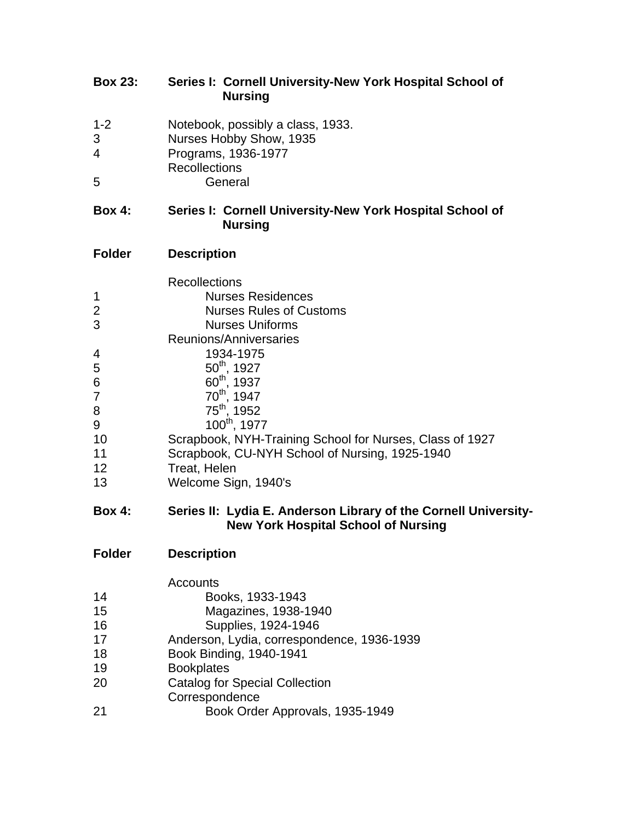# **Box 23: Series I: Cornell University-New York Hospital School of Nursing**

- 1-2 Notebook, possibly a class, 1933. Nurses Hobby Show, 1935
- 
- Programs, 1936-1977 Recollections
- General

# **Box 4: Series I: Cornell University-New York Hospital School of Nursing**

# **Folder Description**

|                | <b>Recollections</b>                                     |
|----------------|----------------------------------------------------------|
| 1              | <b>Nurses Residences</b>                                 |
| 2              | <b>Nurses Rules of Customs</b>                           |
| 3              | <b>Nurses Uniforms</b>                                   |
|                | Reunions/Anniversaries                                   |
| $\overline{4}$ | 1934-1975                                                |
| 5              | $50^{th}$ , 1927                                         |
| 6              | 60 <sup>th</sup> , 1937                                  |
| $\overline{7}$ | 70 <sup>th</sup> , 1947                                  |
| 8              | 75 <sup>th</sup> , 1952                                  |
| 9              | 100 <sup>th</sup> , 1977                                 |
| 10             | Scrapbook, NYH-Training School for Nurses, Class of 1927 |
| 11             | Scrapbook, CU-NYH School of Nursing, 1925-1940           |
| 12             | Treat, Helen                                             |
| 13             | Welcome Sign, 1940's                                     |

#### **Box 4: Series II: Lydia E. Anderson Library of the Cornell University- New York Hospital School of Nursing**

| Folder | <b>Description</b> |
|--------|--------------------|
|--------|--------------------|

|    | Accounts                                   |
|----|--------------------------------------------|
| 14 | Books, 1933-1943                           |
| 15 | Magazines, 1938-1940                       |
| 16 | Supplies, 1924-1946                        |
| 17 | Anderson, Lydia, correspondence, 1936-1939 |
| 18 | Book Binding, 1940-1941                    |
| 19 | <b>Bookplates</b>                          |
| 20 | <b>Catalog for Special Collection</b>      |
|    | Correspondence                             |
| 21 | Book Order Approvals, 1935-1949            |
|    |                                            |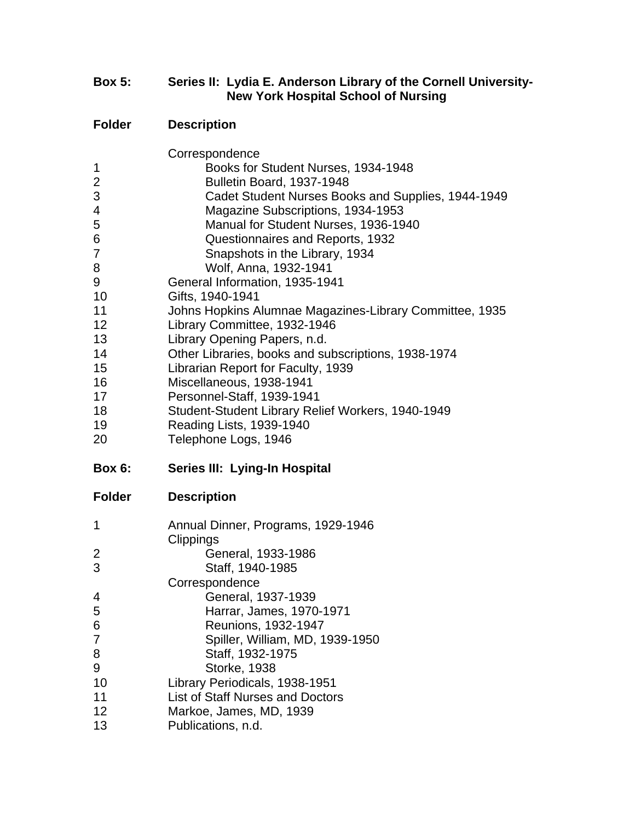### **Box 5: Series II: Lydia E. Anderson Library of the Cornell University- New York Hospital School of Nursing**

|                | Correspondence                                          |
|----------------|---------------------------------------------------------|
| 1              | Books for Student Nurses, 1934-1948                     |
| $\overline{2}$ | Bulletin Board, 1937-1948                               |
| 3              | Cadet Student Nurses Books and Supplies, 1944-1949      |
| 4              | Magazine Subscriptions, 1934-1953                       |
| 5              | Manual for Student Nurses, 1936-1940                    |
| 6              | Questionnaires and Reports, 1932                        |
| 7              | Snapshots in the Library, 1934                          |
| 8              | Wolf, Anna, 1932-1941                                   |
| 9              | General Information, 1935-1941                          |
| 10             | Gifts, 1940-1941                                        |
| 11             | Johns Hopkins Alumnae Magazines-Library Committee, 1935 |
| 12             | Library Committee, 1932-1946                            |
| 13             | Library Opening Papers, n.d.                            |
| 14             | Other Libraries, books and subscriptions, 1938-1974     |
| 15             | Librarian Report for Faculty, 1939                      |
| 16             | Miscellaneous, 1938-1941                                |
| 17             | Personnel-Staff, 1939-1941                              |
| 18             | Student-Student Library Relief Workers, 1940-1949       |
| 19             | Reading Lists, 1939-1940                                |
| 20             | Telephone Logs, 1946                                    |
|                |                                                         |
|                |                                                         |
| <b>Box 6:</b>  | Series III: Lying-In Hospital                           |
| <b>Folder</b>  | <b>Description</b>                                      |
|                |                                                         |
| 1              | Annual Dinner, Programs, 1929-1946                      |
|                | Clippings                                               |
| 2              | General, 1933-1986                                      |
| 3              | Staff, 1940-1985                                        |
|                | Correspondence                                          |
| 4              | General, 1937-1939                                      |
| 5              | Harrar, James, 1970-1971                                |
| 6              | Reunions, 1932-1947                                     |
| 7              | Spiller, William, MD, 1939-1950                         |
| 8              | Staff, 1932-1975                                        |
| 9              | <b>Storke, 1938</b>                                     |
| 10             | Library Periodicals, 1938-1951                          |
| 11             | <b>List of Staff Nurses and Doctors</b>                 |
| 12<br>13       | Markoe, James, MD, 1939<br>Publications, n.d.           |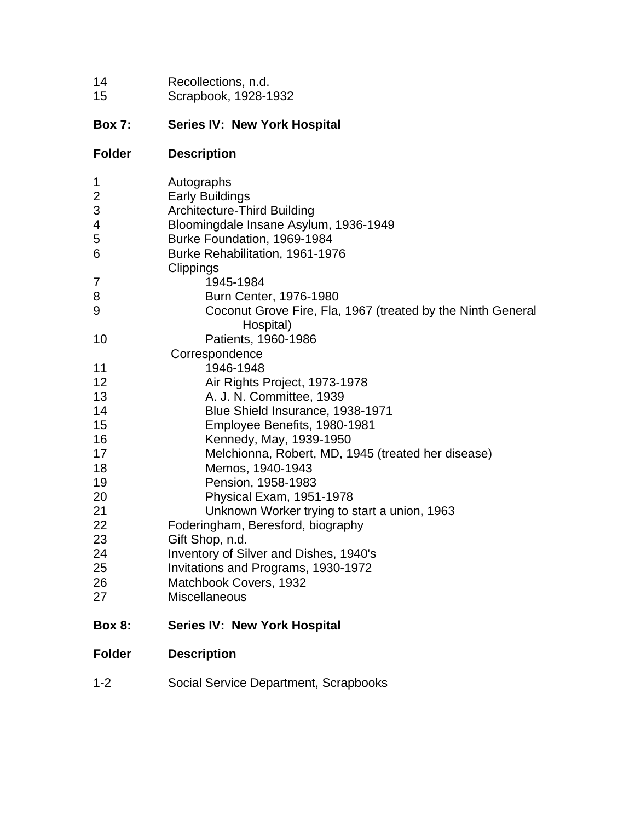| 14 | Recollections, n.d.  |
|----|----------------------|
| 15 | Scrapbook, 1928-1932 |

# **Box 7: Series IV: New York Hospital**

| <b>Folder</b>  | <b>Description</b>                                                       |
|----------------|--------------------------------------------------------------------------|
| 1              | Autographs                                                               |
| $\overline{2}$ | <b>Early Buildings</b>                                                   |
| 3              | <b>Architecture-Third Building</b>                                       |
| 4              | Bloomingdale Insane Asylum, 1936-1949                                    |
| 5              | Burke Foundation, 1969-1984                                              |
| 6              | Burke Rehabilitation, 1961-1976                                          |
|                | Clippings                                                                |
| $\overline{7}$ | 1945-1984                                                                |
| 8              | Burn Center, 1976-1980                                                   |
| 9              | Coconut Grove Fire, Fla, 1967 (treated by the Ninth General<br>Hospital) |
| 10             | Patients, 1960-1986                                                      |
|                | Correspondence                                                           |
| 11             | 1946-1948                                                                |
| 12             | Air Rights Project, 1973-1978                                            |
| 13             | A. J. N. Committee, 1939                                                 |
| 14             | Blue Shield Insurance, 1938-1971                                         |
| 15             | Employee Benefits, 1980-1981                                             |
| 16             | Kennedy, May, 1939-1950                                                  |
| 17             | Melchionna, Robert, MD, 1945 (treated her disease)                       |
| 18             | Memos, 1940-1943                                                         |
| 19             | Pension, 1958-1983                                                       |
| 20             | Physical Exam, 1951-1978                                                 |
| 21             | Unknown Worker trying to start a union, 1963                             |
| 22             | Foderingham, Beresford, biography                                        |
| 23             | Gift Shop, n.d.                                                          |
| 24             | Inventory of Silver and Dishes, 1940's                                   |
| 25             | Invitations and Programs, 1930-1972                                      |
| 26             | Matchbook Covers, 1932                                                   |
| 27             | Miscellaneous                                                            |
| <b>Box 8:</b>  | <b>Series IV: New York Hospital</b>                                      |
| <b>Folder</b>  | <b>Description</b>                                                       |

1-2 Social Service Department, Scrapbooks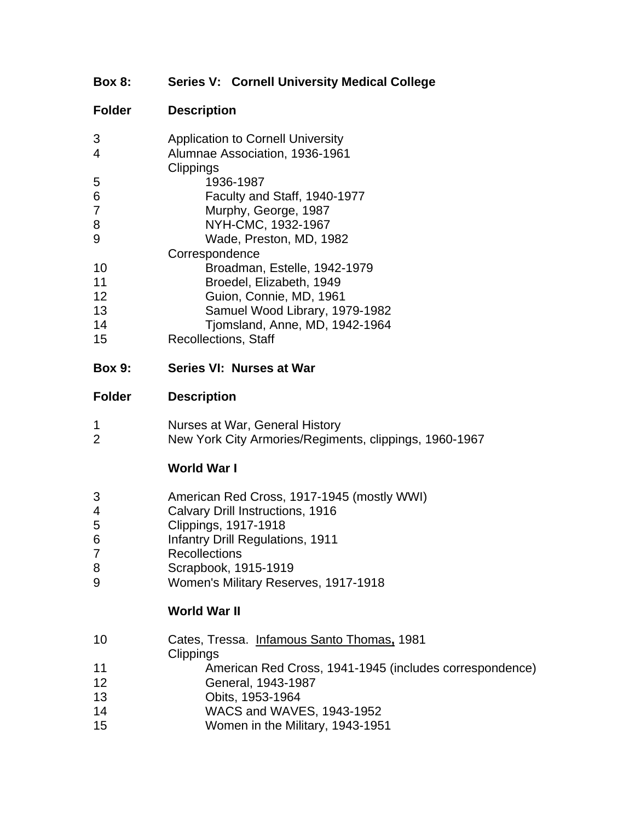# **Box 8: Series V: Cornell University Medical College**

# **Folder Description**

| 3  | <b>Application to Cornell University</b> |
|----|------------------------------------------|
| 4  | Alumnae Association, 1936-1961           |
|    | Clippings                                |
| 5  | 1936-1987                                |
| 6  | Faculty and Staff, 1940-1977             |
| 7  | Murphy, George, 1987                     |
| 8  | NYH-CMC, 1932-1967                       |
| 9  | Wade, Preston, MD, 1982                  |
|    | Correspondence                           |
| 10 | Broadman, Estelle, 1942-1979             |
| 11 | Broedel, Elizabeth, 1949                 |
| 12 | Guion, Connie, MD, 1961                  |
| 13 | Samuel Wood Library, 1979-1982           |
| 14 | Tjomsland, Anne, MD, 1942-1964           |
| 15 | <b>Recollections, Staff</b>              |
|    |                                          |

#### **Box 9: Series VI: Nurses at War**

#### **Folder Description**

| Nurses at War, General History |  |
|--------------------------------|--|
|--------------------------------|--|

New York City Armories/Regiments, clippings, 1960-1967

# **World War I**

- American Red Cross, 1917-1945 (mostly WWI)
- Calvary Drill Instructions, 1916
- Clippings, 1917-1918
- Infantry Drill Regulations, 1911
- Recollections
- Scrapbook, 1915-1919
- Women's Military Reserves, 1917-1918

# **World War II**

- Cates, Tressa. Infamous Santo Thomas**,** 1981
- **Clippings**
- American Red Cross, 1941-1945 (includes correspondence)
- General, 1943-1987
- Obits, 1953-1964
- WACS and WAVES, 1943-1952
- Women in the Military, 1943-1951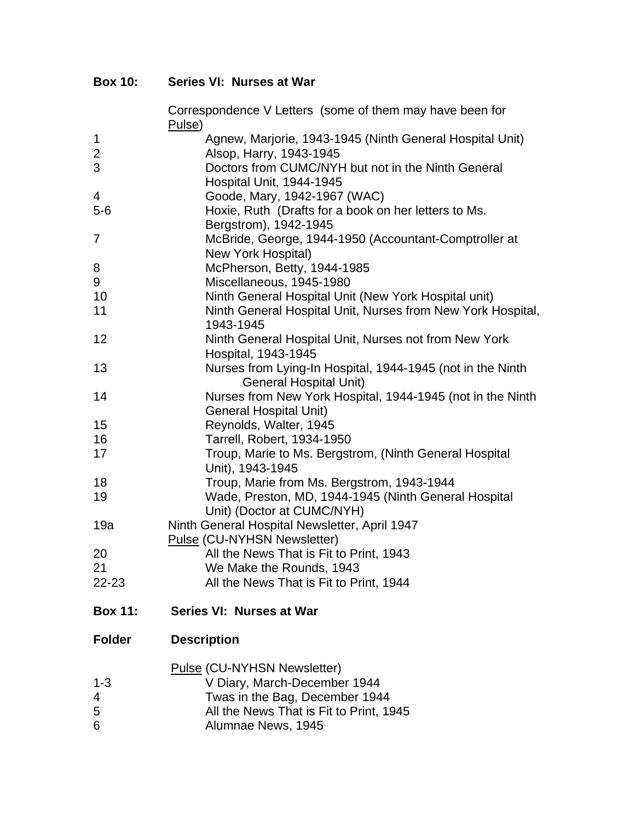**Box 10: Series VI: Nurses at War**

|                | Correspondence V Letters (some of them may have been for<br>Pulse)                          |
|----------------|---------------------------------------------------------------------------------------------|
| 1              | Agnew, Marjorie, 1943-1945 (Ninth General Hospital Unit)                                    |
| $\mathbf 2$    | Alsop, Harry, 1943-1945                                                                     |
| 3              | Doctors from CUMC/NYH but not in the Ninth General                                          |
|                | Hospital Unit, 1944-1945                                                                    |
| $\overline{4}$ | Goode, Mary, 1942-1967 (WAC)                                                                |
| $5-6$          | Hoxie, Ruth (Drafts for a book on her letters to Ms.                                        |
|                | Bergstrom), 1942-1945                                                                       |
| $\overline{7}$ | McBride, George, 1944-1950 (Accountant-Comptroller at                                       |
|                | New York Hospital)                                                                          |
| 8              | McPherson, Betty, 1944-1985                                                                 |
| 9              | Miscellaneous, 1945-1980                                                                    |
| 10             | Ninth General Hospital Unit (New York Hospital unit)                                        |
| 11             | Ninth General Hospital Unit, Nurses from New York Hospital,                                 |
|                | 1943-1945                                                                                   |
| 12             | Ninth General Hospital Unit, Nurses not from New York                                       |
|                | Hospital, 1943-1945                                                                         |
| 13             | Nurses from Lying-In Hospital, 1944-1945 (not in the Ninth<br><b>General Hospital Unit)</b> |
| 14             | Nurses from New York Hospital, 1944-1945 (not in the Ninth                                  |
|                | <b>General Hospital Unit)</b>                                                               |
| 15             | Reynolds, Walter, 1945                                                                      |
| 16             | Tarrell, Robert, 1934-1950                                                                  |
| 17             | Troup, Marie to Ms. Bergstrom, (Ninth General Hospital                                      |
|                | Unit), 1943-1945                                                                            |
| 18             | Troup, Marie from Ms. Bergstrom, 1943-1944                                                  |
| 19             | Wade, Preston, MD, 1944-1945 (Ninth General Hospital                                        |
|                | Unit) (Doctor at CUMC/NYH)                                                                  |
| 19a            | Ninth General Hospital Newsletter, April 1947                                               |
|                | Pulse (CU-NYHSN Newsletter)                                                                 |
| 20             | All the News That is Fit to Print, 1943                                                     |
| 21             | We Make the Rounds, 1943                                                                    |
| 22-23          | All the News That is Fit to Print, 1944                                                     |
| <b>Box 11:</b> | Series VI: Nurses at War                                                                    |
| <b>Folder</b>  | <b>Description</b>                                                                          |
|                | Pulse (CU-NYHSN Newsletter)                                                                 |
| $1 - 3$        | V Diary, March-December 1944                                                                |
| 4              | Twas in the Bag, December 1944                                                              |
| 5              | All the News That is Fit to Print, 1945                                                     |
| 6              | Alumnae News, 1945                                                                          |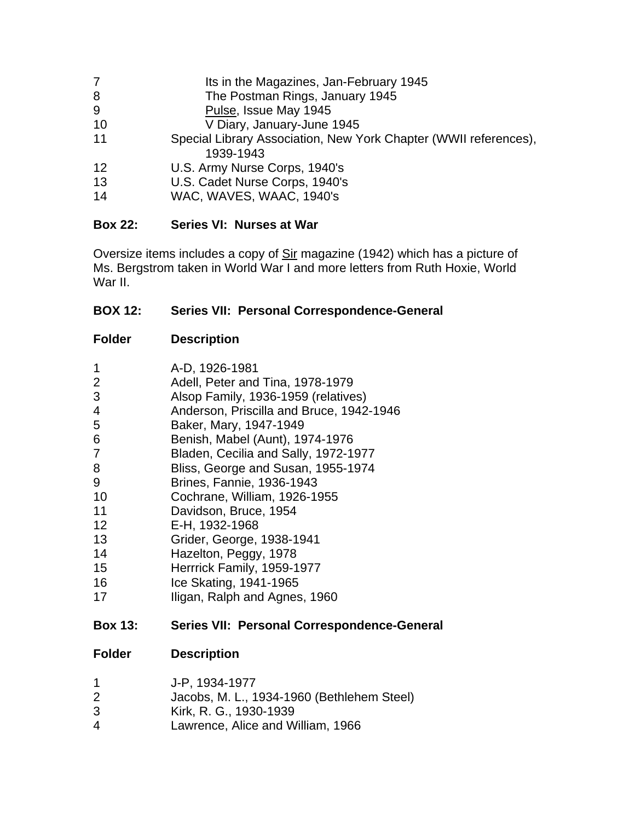| $\overline{7}$ | Its in the Magazines, Jan-February 1945                                       |
|----------------|-------------------------------------------------------------------------------|
| 8              | The Postman Rings, January 1945                                               |
| 9              | Pulse, Issue May 1945                                                         |
| 10             | V Diary, January-June 1945                                                    |
| 11             | Special Library Association, New York Chapter (WWII references),<br>1939-1943 |
| 12             | U.S. Army Nurse Corps, 1940's                                                 |
| 13             | U.S. Cadet Nurse Corps, 1940's                                                |
| 14             | WAC, WAVES, WAAC, 1940's                                                      |

# **Box 22: Series VI: Nurses at War**

Oversize items includes a copy of Sir magazine (1942) which has a picture of Ms. Bergstrom taken in World War I and more letters from Ruth Hoxie, World War II.

# **BOX 12: Series VII: Personal Correspondence-General**

**Folder Description**

| <b>Box 13:</b> | Series VII: Personal Correspondence-General |
|----------------|---------------------------------------------|
| 17             | Iligan, Ralph and Agnes, 1960               |
| 16             | Ice Skating, 1941-1965                      |
| 15             | Herrrick Family, 1959-1977                  |
| 14             | Hazelton, Peggy, 1978                       |
| 13             | Grider, George, 1938-1941                   |
| 12             | E-H, 1932-1968                              |
| 11             | Davidson, Bruce, 1954                       |
| 10             | Cochrane, William, 1926-1955                |
| 9              | <b>Brines, Fannie, 1936-1943</b>            |
| 8              | Bliss, George and Susan, 1955-1974          |
| 7              | Bladen, Cecilia and Sally, 1972-1977        |
| 6              | Benish, Mabel (Aunt), 1974-1976             |
| 5              | Baker, Mary, 1947-1949                      |
| 4              | Anderson, Priscilla and Bruce, 1942-1946    |
| 3              | Alsop Family, 1936-1959 (relatives)         |
| 2              | Adell, Peter and Tina, 1978-1979            |
| 1              | A-D, 1926-1981                              |

- Jacobs, M. L., 1934-1960 (Bethlehem Steel)
- Kirk, R. G., 1930-1939
- Lawrence, Alice and William, 1966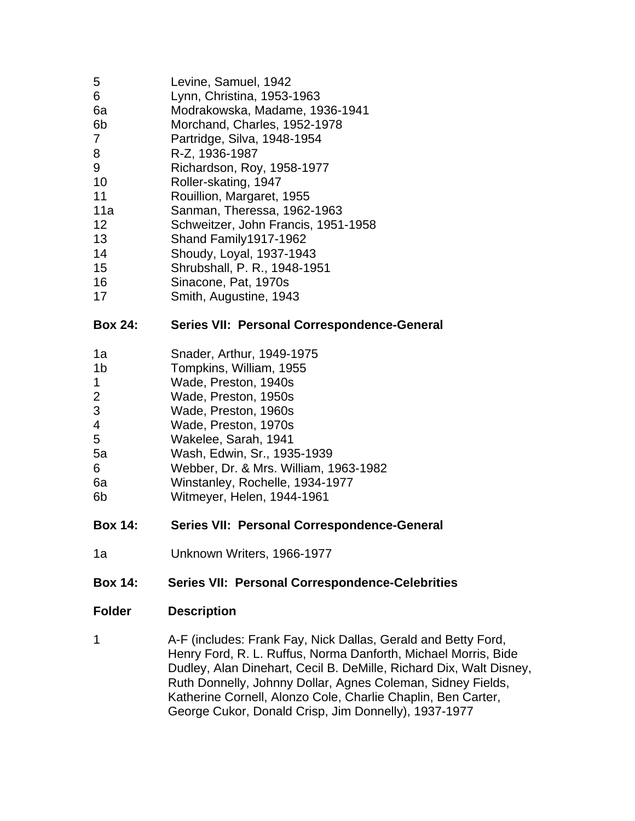- 6 Lynn, Christina, 1953-1963
- 6a Modrakowska, Madame, 1936-1941
- 6b Morchand, Charles, 1952-1978
- 7 Partridge, Silva, 1948-1954
- 8 R-Z, 1936-1987
- 9 Richardson, Roy, 1958-1977
- 10 Roller-skating, 1947
- 11 Rouillion, Margaret, 1955
- 11a Sanman, Theressa, 1962-1963
- 12 Schweitzer, John Francis, 1951-1958
- 13 Shand Family1917-1962
- 14 Shoudy, Loyal, 1937-1943
- 15 Shrubshall, P. R., 1948-1951
- 16 Sinacone, Pat, 1970s
- 17 Smith, Augustine, 1943

# **Box 24: Series VII: Personal Correspondence-General**

- 1a Snader, Arthur, 1949-1975
- 1b Tompkins, William, 1955
- 1 Wade, Preston, 1940s
- 2 Wade, Preston, 1950s
- 3 Wade, Preston, 1960s
- 4 Wade, Preston, 1970s
- 5 Wakelee, Sarah, 1941
- 5a Wash, Edwin, Sr., 1935-1939
- 6 Webber, Dr. & Mrs. William, 1963-1982
- 6a Winstanley, Rochelle, 1934-1977
- 6b Witmeyer, Helen, 1944-1961

# **Box 14: Series VII: Personal Correspondence-General**

1a Unknown Writers, 1966-1977

# **Box 14: Series VII: Personal Correspondence-Celebrities**

#### **Folder Description**

1 A-F (includes: Frank Fay, Nick Dallas, Gerald and Betty Ford, Henry Ford, R. L. Ruffus, Norma Danforth, Michael Morris, Bide Dudley, Alan Dinehart, Cecil B. DeMille, Richard Dix, Walt Disney, Ruth Donnelly, Johnny Dollar, Agnes Coleman, Sidney Fields, Katherine Cornell, Alonzo Cole, Charlie Chaplin, Ben Carter, George Cukor, Donald Crisp, Jim Donnelly), 1937-1977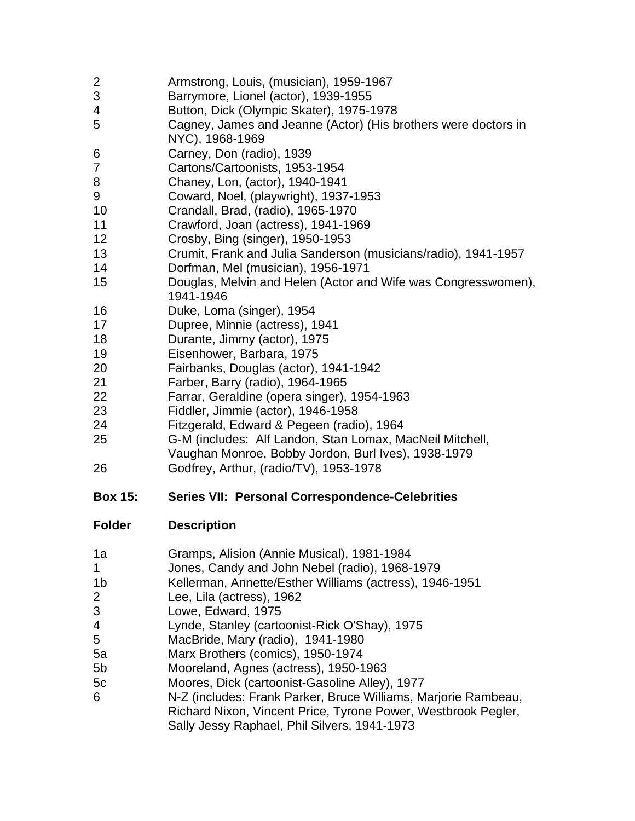- Armstrong, Louis, (musician), 1959-1967
- Barrymore, Lionel (actor), 1939-1955
- Button, Dick (Olympic Skater), 1975-1978
- Cagney, James and Jeanne (Actor) (His brothers were doctors in NYC), 1968-1969
- Carney, Don (radio), 1939
- Cartons/Cartoonists, 1953-1954
- Chaney, Lon, (actor), 1940-1941
- Coward, Noel, (playwright), 1937-1953
- Crandall, Brad, (radio), 1965-1970
- Crawford, Joan (actress), 1941-1969
- Crosby, Bing (singer), 1950-1953
- Crumit, Frank and Julia Sanderson (musicians/radio), 1941-1957
- Dorfman, Mel (musician), 1956-1971
- Douglas, Melvin and Helen (Actor and Wife was Congresswomen), 1941-1946
- Duke, Loma (singer), 1954
- Dupree, Minnie (actress), 1941
- Durante, Jimmy (actor), 1975
- Eisenhower, Barbara, 1975
- Fairbanks, Douglas (actor), 1941-1942
- Farber, Barry (radio), 1964-1965
- Farrar, Geraldine (opera singer), 1954-1963
- Fiddler, Jimmie (actor), 1946-1958
- Fitzgerald, Edward & Pegeen (radio), 1964
- G-M (includes: Alf Landon, Stan Lomax, MacNeil Mitchell,
	- Vaughan Monroe, Bobby Jordon, Burl Ives), 1938-1979
- Godfrey, Arthur, (radio/TV), 1953-1978
- **Box 15: Series VII: Personal Correspondence-Celebrities**

- 1a Gramps, Alision (Annie Musical), 1981-1984
- Jones, Candy and John Nebel (radio), 1968-1979
- 1b Kellerman, Annette/Esther Williams (actress), 1946-1951
- Lee, Lila (actress), 1962
- Lowe, Edward, 1975
- Lynde, Stanley (cartoonist-Rick O'Shay), 1975
- MacBride, Mary (radio), 1941-1980
- 5a Marx Brothers (comics), 1950-1974
- 5b Mooreland, Agnes (actress), 1950-1963
- 5c Moores, Dick (cartoonist-Gasoline Alley), 1977
- N-Z (includes: Frank Parker, Bruce Williams, Marjorie Rambeau, Richard Nixon, Vincent Price, Tyrone Power, Westbrook Pegler, Sally Jessy Raphael, Phil Silvers, 1941-1973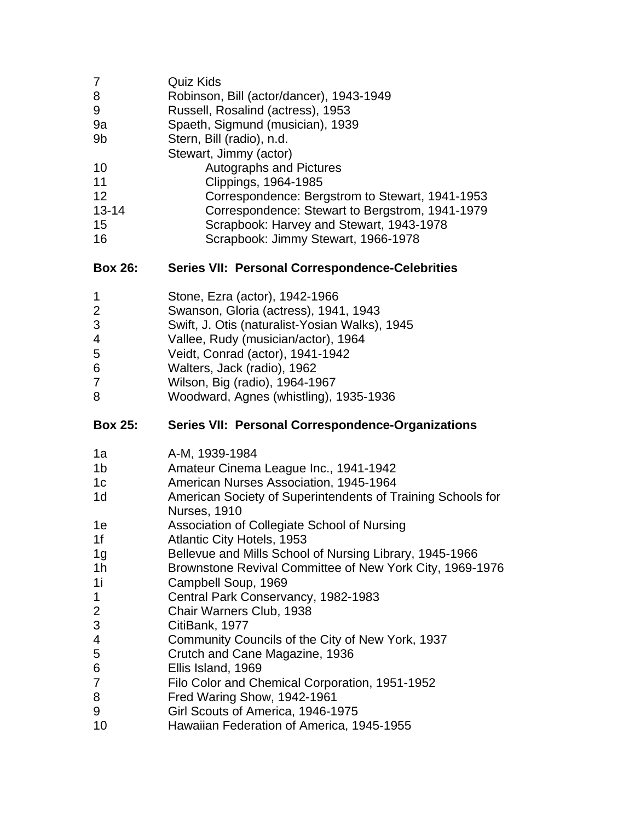| 7         | <b>Quiz Kids</b>                                |
|-----------|-------------------------------------------------|
| 8         | Robinson, Bill (actor/dancer), 1943-1949        |
| 9         | Russell, Rosalind (actress), 1953               |
| 9a        | Spaeth, Sigmund (musician), 1939                |
| 9b        | Stern, Bill (radio), n.d.                       |
|           | Stewart, Jimmy (actor)                          |
| 10        | <b>Autographs and Pictures</b>                  |
| 11        | Clippings, 1964-1985                            |
| 12        | Correspondence: Bergstrom to Stewart, 1941-1953 |
| $13 - 14$ | Correspondence: Stewart to Bergstrom, 1941-1979 |
| 15        | Scrapbook: Harvey and Stewart, 1943-1978        |
| 16        | Scrapbook: Jimmy Stewart, 1966-1978             |

# **Box 26: Series VII: Personal Correspondence-Celebrities**

| Stone, Ezra (actor), 1942-1966 |  |
|--------------------------------|--|

- Swanson, Gloria (actress), 1941, 1943
- Swift, J. Otis (naturalist-Yosian Walks), 1945
- Vallee, Rudy (musician/actor), 1964
- Veidt, Conrad (actor), 1941-1942
- Walters, Jack (radio), 1962
- Wilson, Big (radio), 1964-1967
- Woodward, Agnes (whistling), 1935-1936

# **Box 25: Series VII: Personal Correspondence-Organizations**

| 1a             | A-M, 1939-1984                                                                     |
|----------------|------------------------------------------------------------------------------------|
| 1b             | Amateur Cinema League Inc., 1941-1942                                              |
| 1 <sub>c</sub> | American Nurses Association, 1945-1964                                             |
| 1 <sub>d</sub> | American Society of Superintendents of Training Schools for<br><b>Nurses, 1910</b> |
| 1e             | Association of Collegiate School of Nursing                                        |
| 1f             | Atlantic City Hotels, 1953                                                         |
| 1g             | Bellevue and Mills School of Nursing Library, 1945-1966                            |
| 1 <sub>h</sub> | Brownstone Revival Committee of New York City, 1969-1976                           |
| 1i             | Campbell Soup, 1969                                                                |
| 1              | Central Park Conservancy, 1982-1983                                                |
| 2              | Chair Warners Club, 1938                                                           |
| 3              | CitiBank, 1977                                                                     |
| 4              | Community Councils of the City of New York, 1937                                   |
| 5              | Crutch and Cane Magazine, 1936                                                     |
| 6              | Ellis Island, 1969                                                                 |
| $\overline{7}$ | Filo Color and Chemical Corporation, 1951-1952                                     |
| 8              | Fred Waring Show, 1942-1961                                                        |
| 9              | Girl Scouts of America, 1946-1975                                                  |
| $\overline{ }$ |                                                                                    |

Hawaiian Federation of America, 1945-1955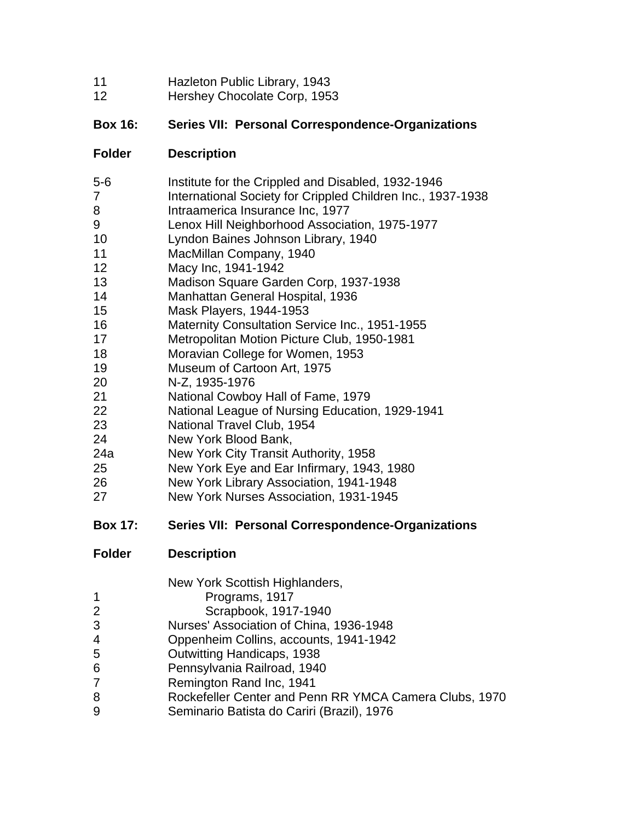- Hazleton Public Library, 1943
- Hershey Chocolate Corp, 1953

# **Box 16: Series VII: Personal Correspondence-Organizations**

# **Folder Description**

| $5-6$ | Institute for the Crippled and Disabled, 1932-1946          |
|-------|-------------------------------------------------------------|
| 7     | International Society for Crippled Children Inc., 1937-1938 |
| 8     | Intraamerica Insurance Inc, 1977                            |
| 9     | Lenox Hill Neighborhood Association, 1975-1977              |
| 10    | Lyndon Baines Johnson Library, 1940                         |
| 11    | MacMillan Company, 1940                                     |
| 12    | Macy Inc, 1941-1942                                         |
| 13    | Madison Square Garden Corp, 1937-1938                       |
| 14    | Manhattan General Hospital, 1936                            |
| 15    | Mask Players, 1944-1953                                     |
| 16    | <b>Maternity Consultation Service Inc., 1951-1955</b>       |
| 17    | Metropolitan Motion Picture Club, 1950-1981                 |
| 18    | Moravian College for Women, 1953                            |
| 19    | Museum of Cartoon Art, 1975                                 |
| 20    | N-Z, 1935-1976                                              |
| 21    | National Cowboy Hall of Fame, 1979                          |
| 22    | National League of Nursing Education, 1929-1941             |
| 23    | National Travel Club, 1954                                  |
| 24    | New York Blood Bank,                                        |
| 24a   | New York City Transit Authority, 1958                       |
| 25    | New York Eye and Ear Infirmary, 1943, 1980                  |
| 26    | New York Library Association, 1941-1948                     |
| 27    | New York Nurses Association, 1931-1945                      |
|       |                                                             |

# **Box 17: Series VII: Personal Correspondence-Organizations**

|  | New York Scottish Highlanders, |
|--|--------------------------------|
|--|--------------------------------|

- Programs, 1917
- Scrapbook, 1917-1940
- Nurses' Association of China, 1936-1948
- Oppenheim Collins, accounts, 1941-1942
- Outwitting Handicaps, 1938
- Pennsylvania Railroad, 1940
- Remington Rand Inc, 1941
- Rockefeller Center and Penn RR YMCA Camera Clubs, 1970
- Seminario Batista do Cariri (Brazil), 1976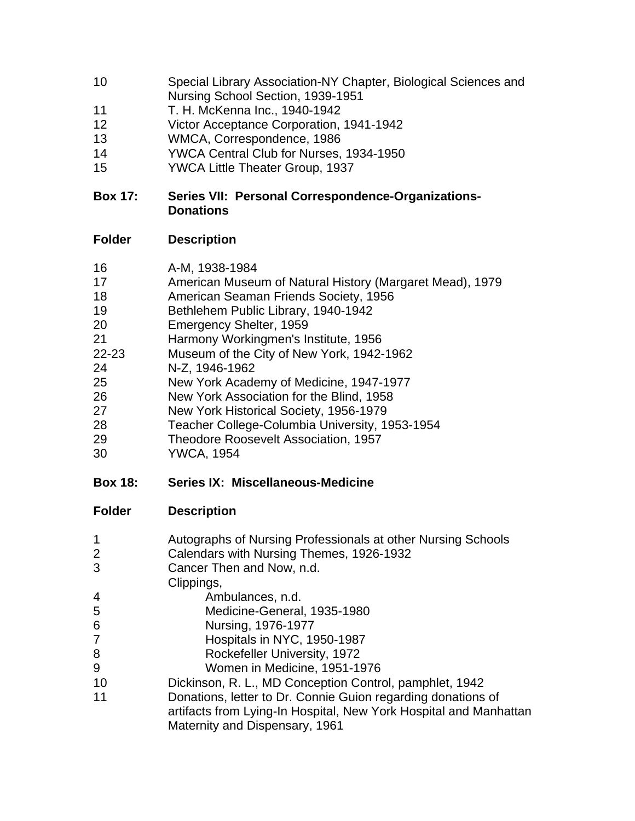- Special Library Association-NY Chapter, Biological Sciences and Nursing School Section, 1939-1951
- T. H. McKenna Inc., 1940-1942
- Victor Acceptance Corporation, 1941-1942
- WMCA, Correspondence, 1986
- YWCA Central Club for Nurses, 1934-1950
- YWCA Little Theater Group, 1937

# **Box 17: Series VII: Personal Correspondence-Organizations-Donations**

| 16                       | A-M, 1938-1984                                                                                                                                      |
|--------------------------|-----------------------------------------------------------------------------------------------------------------------------------------------------|
| 17                       | American Museum of Natural History (Margaret Mead), 1979                                                                                            |
| 18                       | American Seaman Friends Society, 1956                                                                                                               |
| 19                       | Bethlehem Public Library, 1940-1942                                                                                                                 |
| 20                       | Emergency Shelter, 1959                                                                                                                             |
| 21                       | Harmony Workingmen's Institute, 1956                                                                                                                |
| $22 - 23$                | Museum of the City of New York, 1942-1962                                                                                                           |
| 24                       | N-Z, 1946-1962                                                                                                                                      |
| 25                       | New York Academy of Medicine, 1947-1977                                                                                                             |
| 26                       | New York Association for the Blind, 1958                                                                                                            |
| 27                       | New York Historical Society, 1956-1979                                                                                                              |
| 28                       | Teacher College-Columbia University, 1953-1954                                                                                                      |
| 29                       | Theodore Roosevelt Association, 1957                                                                                                                |
| 30                       | <b>YWCA, 1954</b>                                                                                                                                   |
| <b>Box 18:</b>           | Series IX: Miscellaneous-Medicine                                                                                                                   |
| <b>Folder</b>            | <b>Description</b>                                                                                                                                  |
| 1<br>$\overline{2}$<br>3 | Autographs of Nursing Professionals at other Nursing Schools<br>Calendars with Nursing Themes, 1926-1932<br>Cancer Then and Now, n.d.<br>Clippings, |

- **Ambulances**, n.d.
- Medicine-General, 1935-1980
- Nursing, 1976-1977
- Hospitals in NYC, 1950-1987
- 8 Rockefeller University, 1972
- Women in Medicine, 1951-1976
- Dickinson, R. L., MD Conception Control, pamphlet, 1942
- Donations, letter to Dr. Connie Guion regarding donations of artifacts from Lying-In Hospital, New York Hospital and Manhattan Maternity and Dispensary, 1961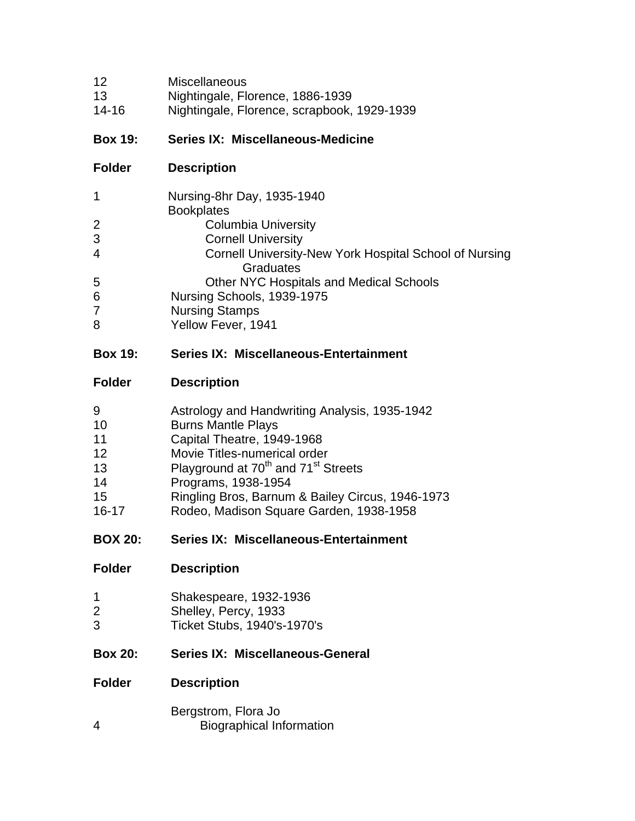- Miscellaneous
- Nightingale, Florence, 1886-1939
- 14-16 Nightingale, Florence, scrapbook, 1929-1939

### **Box 19: Series IX: Miscellaneous-Medicine**

**Folder Description**

| 1              | Nursing-8hr Day, 1935-1940                             |
|----------------|--------------------------------------------------------|
|                | <b>Bookplates</b>                                      |
| 2              | <b>Columbia University</b>                             |
| 3              | <b>Cornell University</b>                              |
| $\overline{4}$ | Cornell University-New York Hospital School of Nursing |
|                | Graduates                                              |
| 5              | Other NYC Hospitals and Medical Schools                |
| 6              | Nursing Schools, 1939-1975                             |
| $\overline{7}$ | <b>Nursing Stamps</b>                                  |
| 8              | Yellow Fever, 1941                                     |
|                |                                                        |

#### **Box 19: Series IX: Miscellaneous-Entertainment**

#### **Folder Description**

| 9              | Astrology and Handwriting Analysis, 1935-1942               |
|----------------|-------------------------------------------------------------|
| 10             | <b>Burns Mantle Plays</b>                                   |
| 11             | Capital Theatre, 1949-1968                                  |
| 12             | Movie Titles-numerical order                                |
| 13             | Playground at 70 <sup>th</sup> and 71 <sup>st</sup> Streets |
| 14             | Programs, 1938-1954                                         |
| 15             | Ringling Bros, Barnum & Bailey Circus, 1946-1973            |
| $16 - 17$      | Rodeo, Madison Square Garden, 1938-1958                     |
| <b>BOX 20:</b> | <b>Series IX: Miscellaneous-Entertainment</b>               |
| <b>Folder</b>  | <b>Description</b>                                          |

| Shakespeare, 1932-1936 |  |
|------------------------|--|
|                        |  |

- Shelley, Percy, 1933
- Ticket Stubs, 1940's-1970's

#### **Box 20: Series IX: Miscellaneous-General**

#### **Folder Description**

Bergstrom, Flora Jo Biographical Information